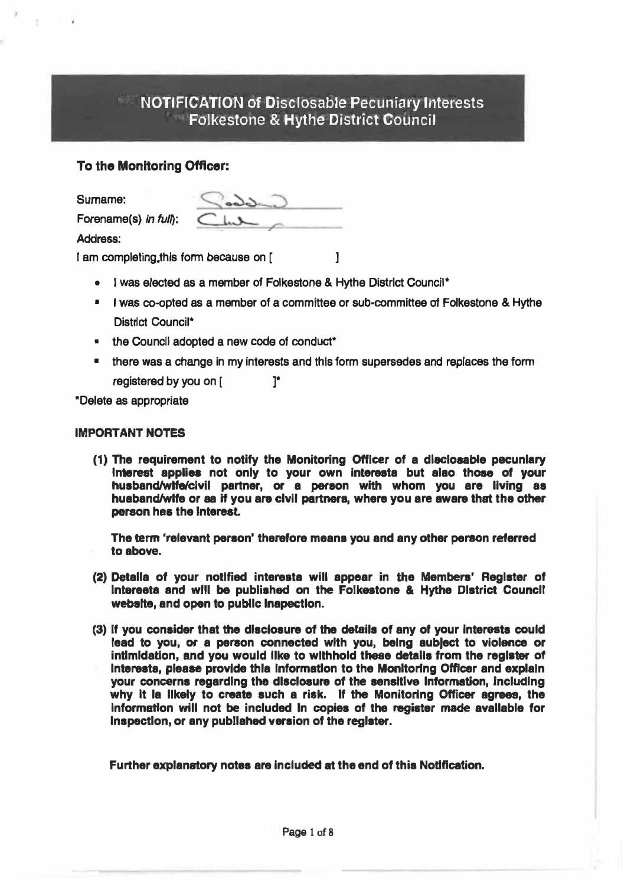# NOTIFICATION of Discfosable Pecuniary Interests Folkestone & Hythe District Council

## **To the Monitoring Officer:**

**Surname:** 

**Forename(s)** *In ful�:*

**Address:** 

**I em completing.this form because on [** J

- **• I was elected as a member of Folkestone & Hythe District Council\***
- **• I was co-opted as a member of a committee or sub-committee of Folkestone & Hythe** District Council<sup>\*</sup>
- **the Council adopted a new code of conduct\***
- **• there was a change in my Interests and this form supersedes and replaces the fonn registered by you on ( ]\***

**\*Delete as appropriate**

## **IMPORTANT NOTES**

**(1) The requirement to notify the Monitoring Officer of a dlecloaable pecuniary Interest applies not only to your own interesta but alao those of your** husband/wlfe/civil partner, or a person with whom you are living as **person has the interest. huaband/wlfe or aa if you are clvil partner**■, **where you are aware that the other**

**The term 'relevant person' therefore meana you and any other person referred to above.**

- **(2) Detalla of your notified intereata will appear in the Members' Register of lntereeta and wlll be published on the Folkeatone & Hythe District Councll website, and open to publlc lnapectlon.**
- **(3) If you consider that the disclosure of the detail• of any of your Interests could lead to you, or a person connected with you, being aub)ect to violence or** intimidation, and you would like to withhold these details from the register of Interests, please provide thia information to the Monitoring Officer and explain **your concerns regarding the dlecloaure of the sensitive lntonnatlon, Jnclucllng** why it la likely to create such a risk. If the Monitoring Officer agrees, the **Information will not be included In copies of the register made avallable for Inspection, or any publlahed version of the reglater.**

**Further explanatory notes are Included at the end of this Notification.**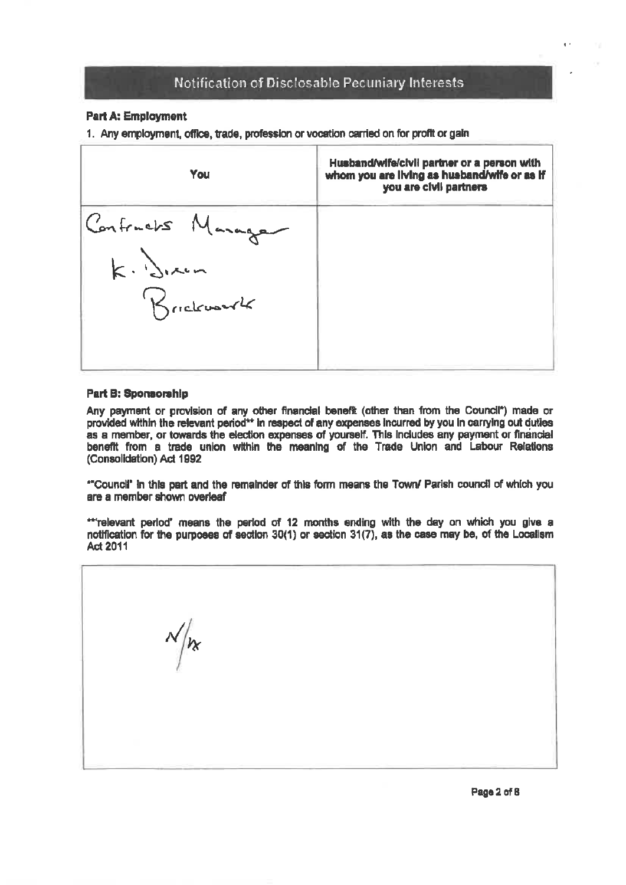### **Part A: Employment**

1. Any employment, office, trade, profession or vocation carried on for profit or gain



#### **Part B: Sponsorship**

Any payment or provision of any other financial benefit (other than from the Council<sup>\*</sup>) made or provided within the relevant period\*\* in respect of any expenses incurred by you in carrying out duties as a member, or towards the election expenses of yourself. This includes any payment or financial benefit from a trade union within the meaning of the Trade Union and Labour Relations (Consolidation) Act 1992

"Council" in this part and the remainder of this form means the Town/ Parish council of which you are a member shown overleaf

\*\*'relevant period' means the period of 12 months ending with the day on which you give a notification for the purposes of section 30(1) or section 31(7), as the case may be, of the Localism Act 2011

 $\sqrt{\kappa}$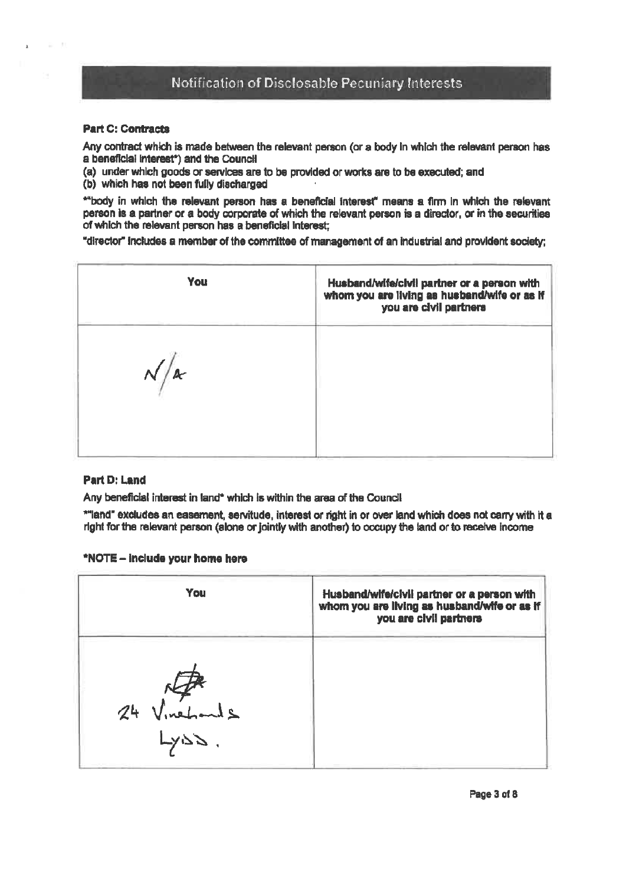#### **Part C: Contracts**

Any contract which is made between the relevant person (or a body in which the relevant person has a beneficial interest\*) and the Council

(a) under which goods or services are to be provided or works are to be executed; and

(b) which has not been fully discharged

\*\*body in which the relevant person has a beneficial interest" means a firm in which the relevant person is a partner or a body corporate of which the relevant person is a director, or in the securities of which the relevant person has a beneficial interest:

"director" includes a member of the committee of management of an industrial and provident society;

| You        | Husband/wife/civil partner or a person with<br>whom you are living as husband/wife or as if<br>you are civil partners |
|------------|-----------------------------------------------------------------------------------------------------------------------|
| $\sqrt{2}$ |                                                                                                                       |
|            |                                                                                                                       |

### **Part D: Land**

Any beneficial interest in land\* which is within the area of the Council

\*"land" excludes an easement, servitude, interest or right in or over land which does not carry with it a right for the relevant person (alone or jointly with another) to occupy the land or to receive income

#### \*NOTE - include your home here

| You          | Husband/wife/civil partner or a person with<br>whom you are living as husband/wife or as if<br>you are civil partners |
|--------------|-----------------------------------------------------------------------------------------------------------------------|
|              |                                                                                                                       |
| 24 Vinehands |                                                                                                                       |
|              |                                                                                                                       |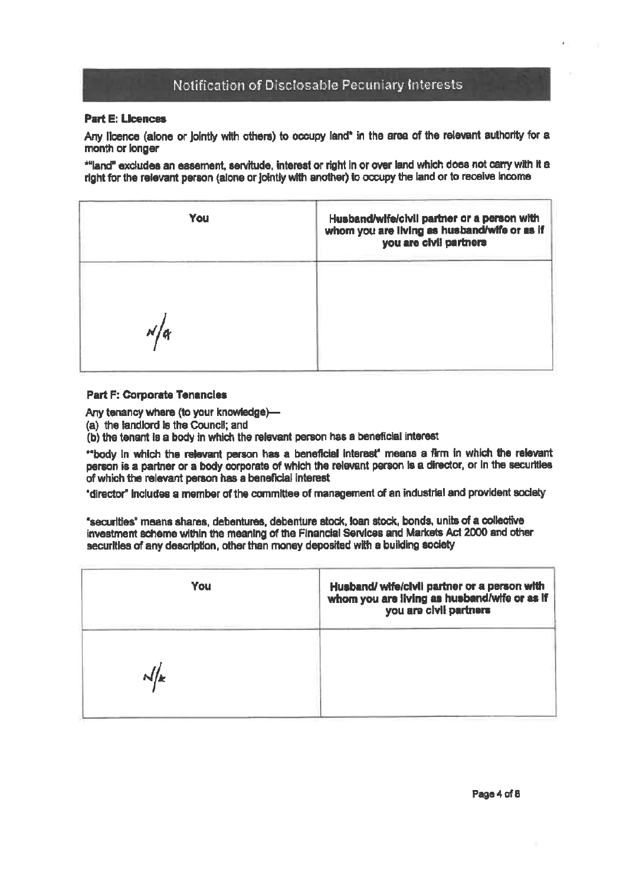#### **Part E: Licences**

Any licence (alone or lointly with others) to occupy land\* in the area of the relevant authority for a month or longer

\*"land" excludes an easement, servitude, interest or right in or over land which does not carry with it a right for the relevant person (alone or jointly with another) to occupy the land or to receive income

| You | Husband/wife/civil partner or a person with<br>whom you are living as husband/wife or as if<br>you are civil partners |  |
|-----|-----------------------------------------------------------------------------------------------------------------------|--|
|     |                                                                                                                       |  |

#### **Part F: Corporate Tenancies**

Any tenancy where (to your knowledge)-

(a) the landlord is the Council: and

(b) the tenant is a body in which the relevant person has a beneficial interest

"body in which the relevant person has a beneficial interest" means a firm in which the relevant person is a partner or a body corporate of which the relevant person is a director, or in the securities of which the relevant person has a beneficial interest

"director" includes a member of the committee of management of an industrial and provident society

"securities" means shares, debentures, debenture stock, ioan stock, bonds, units of a collective investment scheme within the meaning of the Financial Services and Markets Act 2000 and other securities of any description, other than money deposited with a building society

| You | Husband/ wife/civil partner or a person with<br>whom you are living as husband/wife or as if<br>you are civil partners |
|-----|------------------------------------------------------------------------------------------------------------------------|
| N/k |                                                                                                                        |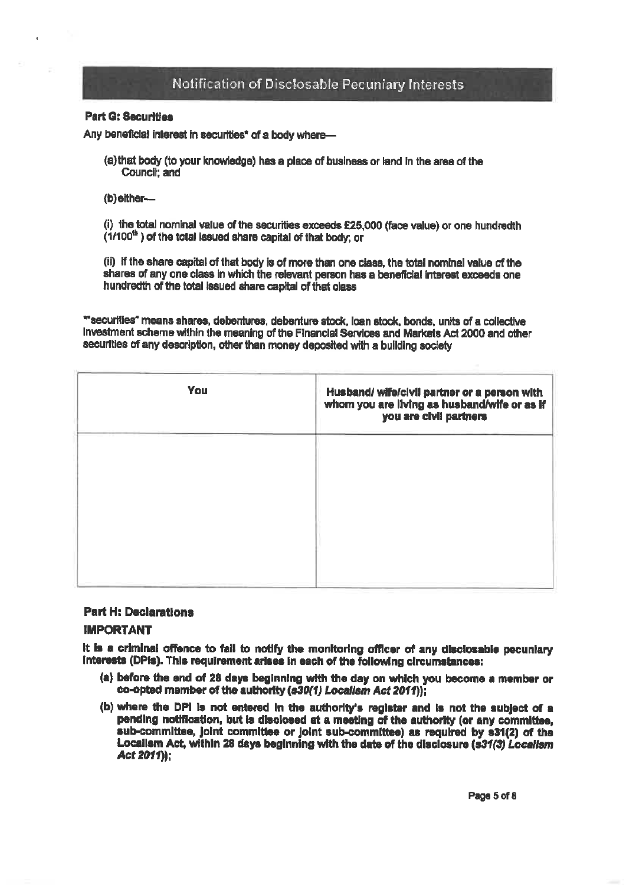#### **Part G: Securities**

Any beneficial interest in securities\* of a body where-

- (a) that body (to your knowledge) has a place of business or land in the area of the Council: and
- (b) either-

(i) the total nominal value of the securities exceeds £25,000 (face value) or one hundredth (1/100<sup>th</sup>) of the total issued share capital of that body; or

(ii) if the share capital of that body is of more than one class, the total nominal value of the shares of any one class in which the relevant person has a beneficial interest exceeds one hundredth of the total issued share capital of that class

\*\* securities" means shares, debentures, debenture stock, loan stock, bonds, units of a collective Investment scheme within the meaning of the Financial Services and Markets Act 2000 and other securities of any description, other than money deposited with a building society

| <b>You</b> | Husband/ wife/civil partner or a person with<br>whom you are living as husband/wife or as if<br>you are civil partners |
|------------|------------------------------------------------------------------------------------------------------------------------|
|            |                                                                                                                        |
|            |                                                                                                                        |
|            |                                                                                                                        |

## **Part H: Declarations**

#### **IMPORTANT**

It is a criminal offence to fail to notify the monitoring officer of any disclosable pecuniary interests (DPIs). This requirement arises in each of the following circumstances:

- (a) before the end of 28 days beginning with the day on which you become a member or co-opted member of the authority (s30(1) Localism Act 2011));
- (b) where the DPI is not entered in the authority's register and is not the subject of a pending notification, but is disclosed at a meeting of the authority (or any committee, sub-committee, joint committee or joint sub-committee) as regulred by s31(2) of the Localism Act, within 28 days beginning with the date of the disclosure (s31(3) Localism Act 2011):